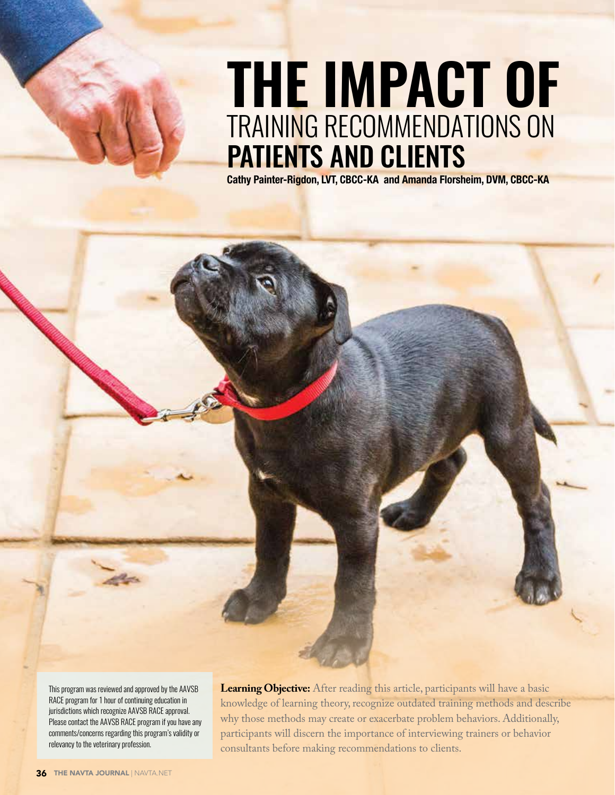# **tHe iMpact oF** trAining reCOMMenDAtiOnS On PATIENTS AND CLIENTS

Cathy Painter-Rigdon, LVT, CBCC-KA and Amanda Florsheim, DVM, CBCC-KA

this program was reviewed and approved by the AAvSB RACE program for 1 hour of continuing education in jurisdictions which recognize AAVSB RACE approval. Please contact the AAVSB RACE program if you have any comments/concerns regarding this program's validity or relevancy to the veterinary profession.

VETERINARY NURSING EDUCATION

**Learning Objective:** After reading this article, participants will have a basic knowledge of learning theory, recognize outdated training methods and describe why those methods may create or exacerbate problem behaviors. Additionally, participants will discern the importance of interviewing trainers or behavior consultants before making recommendations to clients.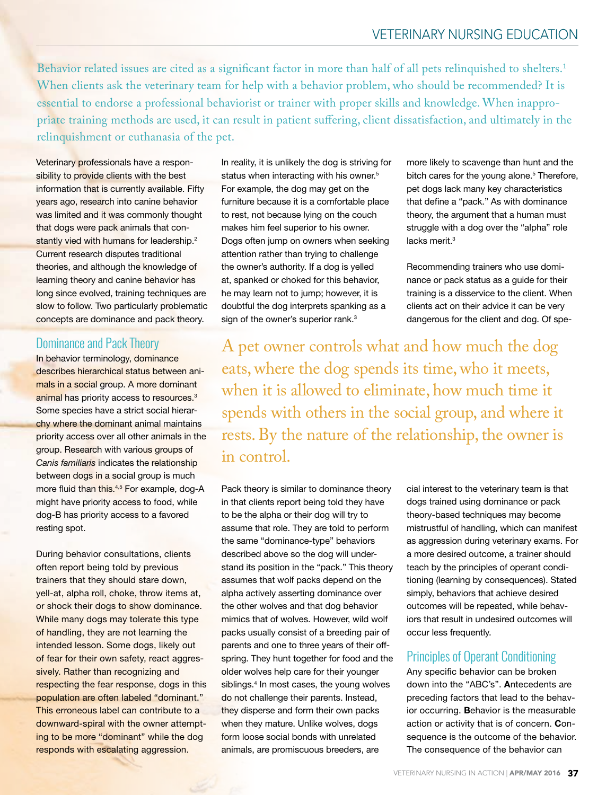Behavior related issues are cited as a significant factor in more than half of all pets relinquished to shelters.<sup>1</sup> When clients ask the veterinary team for help with a behavior problem, who should be recommended? It is essential to endorse a professional behaviorist or trainer with proper skills and knowledge. When inappropriate training methods are used, it can result in patient sufering, client dissatisfaction, and ultimately in the relinquishment or euthanasia of the pet.

Veterinary professionals have a responsibility to provide clients with the best information that is currently available. Fifty years ago, research into canine behavior was limited and it was commonly thought that dogs were pack animals that constantly vied with humans for leadership.<sup>2</sup> Current research disputes traditional theories, and although the knowledge of learning theory and canine behavior has long since evolved, training techniques are slow to follow. Two particularly problematic concepts are dominance and pack theory.

#### Dominance and Pack Theory

In behavior terminology, dominance describes hierarchical status between animals in a social group. A more dominant animal has priority access to resources.<sup>3</sup> Some species have a strict social hierarchy where the dominant animal maintains priority access over all other animals in the group. Research with various groups of *Canis familiaris* indicates the relationship between dogs in a social group is much more fluid than this.<sup>4,5</sup> For example, dog-A might have priority access to food, while dog-B has priority access to a favored resting spot.

During behavior consultations, clients often report being told by previous trainers that they should stare down, yell-at, alpha roll, choke, throw items at, or shock their dogs to show dominance. While many dogs may tolerate this type of handling, they are not learning the intended lesson. Some dogs, likely out of fear for their own safety, react aggressively. Rather than recognizing and respecting the fear response, dogs in this population are often labeled "dominant." This erroneous label can contribute to a downward-spiral with the owner attempting to be more "dominant" while the dog responds with escalating aggression.

In reality, it is unlikely the dog is striving for status when interacting with his owner.<sup>5</sup> For example, the dog may get on the furniture because it is a comfortable place to rest, not because lying on the couch makes him feel superior to his owner. Dogs often jump on owners when seeking attention rather than trying to challenge the owner's authority. If a dog is yelled at, spanked or choked for this behavior, he may learn not to jump; however, it is doubtful the dog interprets spanking as a sign of the owner's superior rank.<sup>3</sup>

more likely to scavenge than hunt and the bitch cares for the young alone.<sup>5</sup> Therefore, pet dogs lack many key characteristics that define a "pack." As with dominance theory, the argument that a human must struggle with a dog over the "alpha" role lacks merit.<sup>3</sup>

Recommending trainers who use dominance or pack status as a guide for their training is a disservice to the client. When clients act on their advice it can be very dangerous for the client and dog. Of spe-

A pet owner controls what and how much the dog eats, where the dog spends its time, who it meets, when it is allowed to eliminate, how much time it spends with others in the social group, and where it rests. By the nature of the relationship, the owner is in control.

Pack theory is similar to dominance theory in that clients report being told they have to be the alpha or their dog will try to assume that role. They are told to perform the same "dominance-type" behaviors described above so the dog will understand its position in the "pack." This theory assumes that wolf packs depend on the alpha actively asserting dominance over the other wolves and that dog behavior mimics that of wolves. However, wild wolf packs usually consist of a breeding pair of parents and one to three years of their offspring. They hunt together for food and the older wolves help care for their younger siblings.<sup>4</sup> In most cases, the young wolves do not challenge their parents. Instead, they disperse and form their own packs when they mature. Unlike wolves, dogs form loose social bonds with unrelated animals, are promiscuous breeders, are

cial interest to the veterinary team is that dogs trained using dominance or pack theory-based techniques may become mistrustful of handling, which can manifest as aggression during veterinary exams. For a more desired outcome, a trainer should teach by the principles of operant conditioning (learning by consequences). Stated simply, behaviors that achieve desired outcomes will be repeated, while behaviors that result in undesired outcomes will occur less frequently.

#### Principles of Operant Conditioning

Any specific behavior can be broken down into the "ABC's". Antecedents are preceding factors that lead to the behavior occurring. Behavior is the measurable action or activity that is of concern. Consequence is the outcome of the behavior. The consequence of the behavior can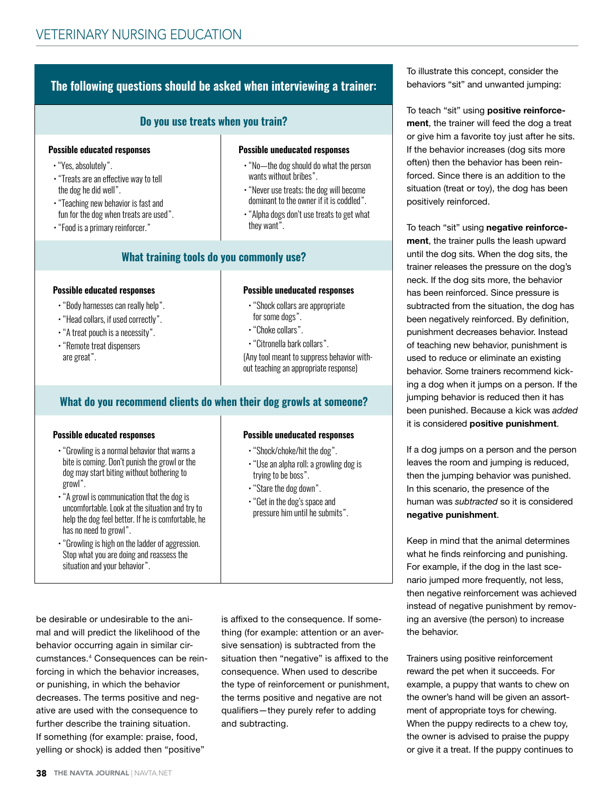# **the following questions should be asked when interviewing a trainer:**

#### **do you use treats when you train?**

#### **possible educated responses**

- "Yes, absolutely".
- "Treats are an effective way to tell the dog he did well".
- "Teaching new behavior is fast and fun for the dog when treats are used".
- "Food is a primary reinforcer."

# **What training tools do you commonly use?**

#### **possible educated responses**

- "Body harnesses can really help".
- "Head collars, if used correctly".
- "A treat pouch is a necessity".
- "Remote treat dispensers are great".

#### **possible uneducated responses**

**possible uneducated responses**

wants without bribes".

they want".

• "No-the dog should do what the person

• "Never use treats; the dog will become dominant to the owner if it is coddled". • "Alpha dogs don't use treats to get what

- "Shock collars are appropriate for some dogs".
- "Choke collars".
- "Citronella bark collars".

(Any tool meant to suppress behavior without teaching an appropriate response)

#### **What do you recommend clients do when their dog growls at someone?**

#### **possible educated responses**

- "Growling is a normal behavior that warns a bite is coming. Don't punish the growl or the dog may start biting without bothering to growl".
- "A growl is communication that the dog is uncomfortable. Look at the situation and try to help the dog feel better. if he is comfortable, he has no need to growl".
- . "Growling is high on the ladder of aggression. Stop what you are doing and reassess the situation and your behavior".

# **possible uneducated responses**

- "Shock/choke/hit the dog".
- "Use an alpha roll; a growling dog is trying to be boss".
- $\cdot$  "Stare the dog down".
- "Get in the dog's space and pressure him until he submits".

mal and will predict the likelihood of the behavior occurring again in similar circumstances.4 Consequences can be reinforcing in which the behavior increases, or punishing, in which the behavior decreases. The terms positive and negative are used with the consequence to further describe the training situation. If something (for example: praise, food, yelling or shock) is added then "positive"

be desirable or undesirable to the ani-

is affixed to the consequence. If something (for example: attention or an aversive sensation) is subtracted from the situation then "negative" is affixed to the consequence. When used to describe the type of reinforcement or punishment, the terms positive and negative are not qualifers—they purely refer to adding and subtracting.

To illustrate this concept, consider the behaviors "sit" and unwanted jumping:

To teach "sit" using positive reinforcement, the trainer will feed the dog a treat or give him a favorite toy just after he sits. If the behavior increases (dog sits more often) then the behavior has been reinforced. Since there is an addition to the situation (treat or toy), the dog has been positively reinforced.

To teach "sit" using negative reinforcement, the trainer pulls the leash upward until the dog sits. When the dog sits, the trainer releases the pressure on the dog's neck. If the dog sits more, the behavior has been reinforced. Since pressure is subtracted from the situation, the dog has been negatively reinforced. By definition, punishment decreases behavior. Instead of teaching new behavior, punishment is used to reduce or eliminate an existing behavior. Some trainers recommend kicking a dog when it jumps on a person. If the jumping behavior is reduced then it has been punished. Because a kick was *added* it is considered positive punishment.

If a dog jumps on a person and the person leaves the room and jumping is reduced, then the jumping behavior was punished. In this scenario, the presence of the human was *subtracted* so it is considered negative punishment.

Keep in mind that the animal determines what he finds reinforcing and punishing. For example, if the dog in the last scenario jumped more frequently, not less, then negative reinforcement was achieved instead of negative punishment by removing an aversive (the person) to increase the behavior.

Trainers using positive reinforcement reward the pet when it succeeds. For example, a puppy that wants to chew on the owner's hand will be given an assortment of appropriate toys for chewing. When the puppy redirects to a chew toy, the owner is advised to praise the puppy or give it a treat. If the puppy continues to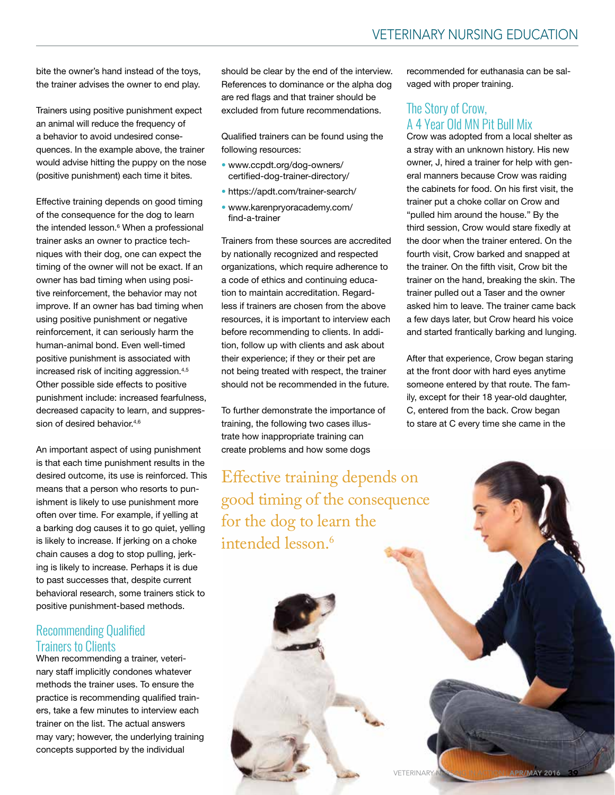bite the owner's hand instead of the toys, the trainer advises the owner to end play.

Trainers using positive punishment expect an animal will reduce the frequency of a behavior to avoid undesired consequences. In the example above, the trainer would advise hitting the puppy on the nose (positive punishment) each time it bites.

Effective training depends on good timing of the consequence for the dog to learn the intended lesson.<sup>6</sup> When a professional trainer asks an owner to practice techniques with their dog, one can expect the timing of the owner will not be exact. If an owner has bad timing when using positive reinforcement, the behavior may not improve. If an owner has bad timing when using positive punishment or negative reinforcement, it can seriously harm the human-animal bond. Even well-timed positive punishment is associated with increased risk of inciting aggression.4,5 Other possible side effects to positive punishment include: increased fearfulness, decreased capacity to learn, and suppression of desired behavior.<sup>4,6</sup>

An important aspect of using punishment is that each time punishment results in the desired outcome, its use is reinforced. This means that a person who resorts to punishment is likely to use punishment more often over time. For example, if yelling at a barking dog causes it to go quiet, yelling is likely to increase. If jerking on a choke chain causes a dog to stop pulling, jerking is likely to increase. Perhaps it is due to past successes that, despite current behavioral research, some trainers stick to positive punishment-based methods.

#### Recommending Qualified trainers to Clients

When recommending a trainer, veterinary staff implicitly condones whatever methods the trainer uses. To ensure the practice is recommending qualifed trainers, take a few minutes to interview each trainer on the list. The actual answers may vary; however, the underlying training concepts supported by the individual

should be clear by the end of the interview. References to dominance or the alpha dog are red flags and that trainer should be excluded from future recommendations.

Qualifed trainers can be found using the following resources:

- www.ccpdt.org/dog-owners/ certifed-dog-trainer-directory/
- https://apdt.com/trainer-search/
- www.karenpryoracademy.com/ find-a-trainer

Trainers from these sources are accredited by nationally recognized and respected organizations, which require adherence to a code of ethics and continuing education to maintain accreditation. Regardless if trainers are chosen from the above resources, it is important to interview each before recommending to clients. In addition, follow up with clients and ask about their experience; if they or their pet are not being treated with respect, the trainer should not be recommended in the future.

To further demonstrate the importance of training, the following two cases illustrate how inappropriate training can create problems and how some dogs

Efective training depends on good timing of the consequence for the dog to learn the intended lesson.<sup>6</sup>

recommended for euthanasia can be salvaged with proper training.

# The Story of Crow, A 4 year Old Mn Pit Bull Mix

Crow was adopted from a local shelter as a stray with an unknown history. His new owner, J, hired a trainer for help with general manners because Crow was raiding the cabinets for food. On his first visit, the trainer put a choke collar on Crow and "pulled him around the house." By the third session, Crow would stare fxedly at the door when the trainer entered. On the fourth visit, Crow barked and snapped at the trainer. On the ffth visit, Crow bit the trainer on the hand, breaking the skin. The trainer pulled out a Taser and the owner asked him to leave. The trainer came back a few days later, but Crow heard his voice and started frantically barking and lunging.

After that experience, Crow began staring at the front door with hard eyes anytime someone entered by that route. The family, except for their 18 year-old daughter, C, entered from the back. Crow began to stare at C every time she came in the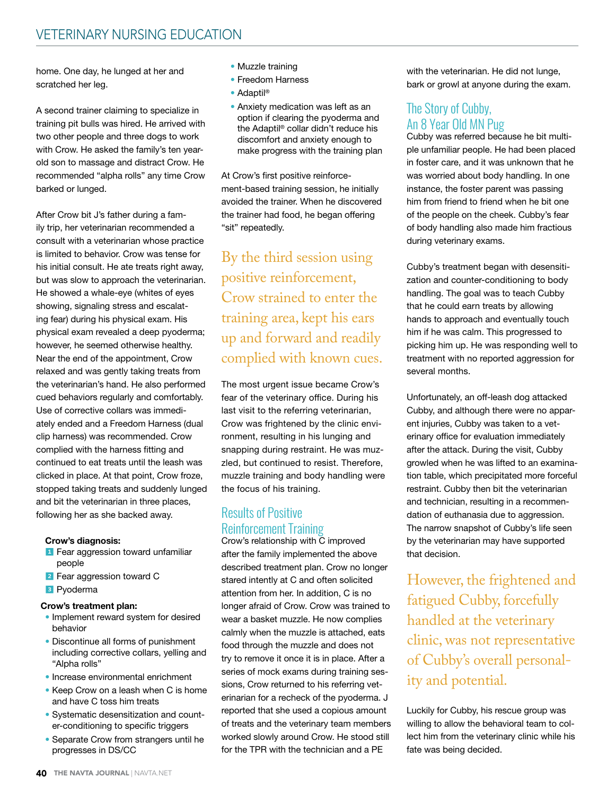# VETERINARY NURSING EDUCATION

home. One day, he lunged at her and scratched her leg.

A second trainer claiming to specialize in training pit bulls was hired. He arrived with two other people and three dogs to work with Crow. He asked the family's ten yearold son to massage and distract Crow. He recommended "alpha rolls" any time Crow barked or lunged.

After Crow bit J's father during a family trip, her veterinarian recommended a consult with a veterinarian whose practice is limited to behavior. Crow was tense for his initial consult. He ate treats right away, but was slow to approach the veterinarian. He showed a whale-eye (whites of eyes showing, signaling stress and escalating fear) during his physical exam. His physical exam revealed a deep pyoderma; however, he seemed otherwise healthy. Near the end of the appointment, Crow relaxed and was gently taking treats from the veterinarian's hand. He also performed cued behaviors regularly and comfortably. Use of corrective collars was immediately ended and a Freedom Harness (dual clip harness) was recommended. Crow complied with the harness fitting and continued to eat treats until the leash was clicked in place. At that point, Crow froze, stopped taking treats and suddenly lunged and bit the veterinarian in three places, following her as she backed away.

#### Crow's diagnosis:

- <sup>1</sup> Fear aggression toward unfamiliar people
- 2 Fear aggression toward C
- 3 Pyoderma

#### Crow's treatment plan:

- Implement reward system for desired behavior
- Discontinue all forms of punishment including corrective collars, yelling and "Alpha rolls"
- Increase environmental enrichment
- Keep Crow on a leash when C is home and have C toss him treats
- Systematic desensitization and counter-conditioning to specific triggers
- Separate Crow from strangers until he progresses in DS/CC
- Muzzle training
- Freedom Harness
- Adaptil<sup>®</sup>
- Anxiety medication was left as an option if clearing the pyoderma and the Adaptil® collar didn't reduce his discomfort and anxiety enough to make progress with the training plan

At Crow's first positive reinforcement-based training session, he initially avoided the trainer. When he discovered the trainer had food, he began offering "sit" repeatedly.

By the third session using positive reinforcement, Crow strained to enter the training area, kept his ears up and forward and readily complied with known cues.

The most urgent issue became Crow's fear of the veterinary office. During his last visit to the referring veterinarian, Crow was frightened by the clinic environment, resulting in his lunging and snapping during restraint. He was muzzled, but continued to resist. Therefore, muzzle training and body handling were the focus of his training.

# **Results of Positive Reinforcement Training**

Crow's relationship with C improved after the family implemented the above described treatment plan. Crow no longer stared intently at C and often solicited attention from her. In addition, C is no longer afraid of Crow. Crow was trained to wear a basket muzzle. He now complies calmly when the muzzle is attached, eats food through the muzzle and does not try to remove it once it is in place. After a series of mock exams during training sessions, Crow returned to his referring veterinarian for a recheck of the pyoderma. J reported that she used a copious amount of treats and the veterinary team members worked slowly around Crow. He stood still for the TPR with the technician and a PE

with the veterinarian. He did not lunge, bark or growl at anyone during the exam.

## The Story of Cubby, An 8 year Old Mn Pug

Cubby was referred because he bit multiple unfamiliar people. He had been placed in foster care, and it was unknown that he was worried about body handling. In one instance, the foster parent was passing him from friend to friend when he bit one of the people on the cheek. Cubby's fear of body handling also made him fractious during veterinary exams.

Cubby's treatment began with desensitization and counter-conditioning to body handling. The goal was to teach Cubby that he could earn treats by allowing hands to approach and eventually touch him if he was calm. This progressed to picking him up. He was responding well to treatment with no reported aggression for several months.

Unfortunately, an off-leash dog attacked Cubby, and although there were no apparent injuries, Cubby was taken to a veterinary office for evaluation immediately after the attack. During the visit, Cubby growled when he was lifted to an examination table, which precipitated more forceful restraint. Cubby then bit the veterinarian and technician, resulting in a recommendation of euthanasia due to aggression. The narrow snapshot of Cubby's life seen by the veterinarian may have supported that decision.

However, the frightened and fatigued Cubby, forcefully handled at the veterinary clinic, was not representative of Cubby's overall personality and potential.

Luckily for Cubby, his rescue group was willing to allow the behavioral team to collect him from the veterinary clinic while his fate was being decided.